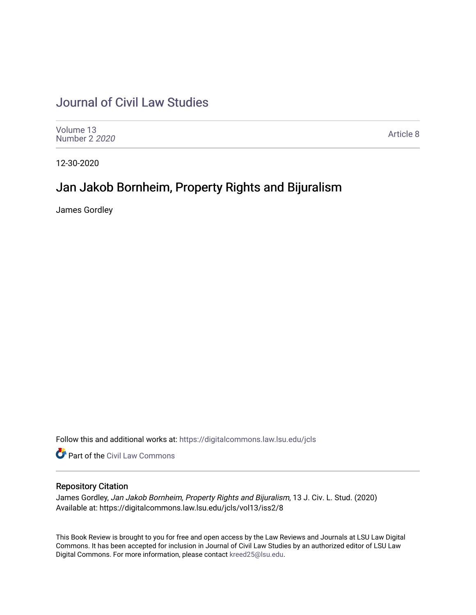## [Journal of Civil Law Studies](https://digitalcommons.law.lsu.edu/jcls)

| Volume 13<br>Number 2 2020 | Article 8 |
|----------------------------|-----------|
|----------------------------|-----------|

12-30-2020

## Jan Jakob Bornheim, Property Rights and Bijuralism

James Gordley

Follow this and additional works at: [https://digitalcommons.law.lsu.edu/jcls](https://digitalcommons.law.lsu.edu/jcls?utm_source=digitalcommons.law.lsu.edu%2Fjcls%2Fvol13%2Fiss2%2F8&utm_medium=PDF&utm_campaign=PDFCoverPages) 

**Part of the [Civil Law Commons](http://network.bepress.com/hgg/discipline/835?utm_source=digitalcommons.law.lsu.edu%2Fjcls%2Fvol13%2Fiss2%2F8&utm_medium=PDF&utm_campaign=PDFCoverPages)** 

## Repository Citation

James Gordley, Jan Jakob Bornheim, Property Rights and Bijuralism, 13 J. Civ. L. Stud. (2020) Available at: https://digitalcommons.law.lsu.edu/jcls/vol13/iss2/8

This Book Review is brought to you for free and open access by the Law Reviews and Journals at LSU Law Digital Commons. It has been accepted for inclusion in Journal of Civil Law Studies by an authorized editor of LSU Law Digital Commons. For more information, please contact [kreed25@lsu.edu.](mailto:kreed25@lsu.edu)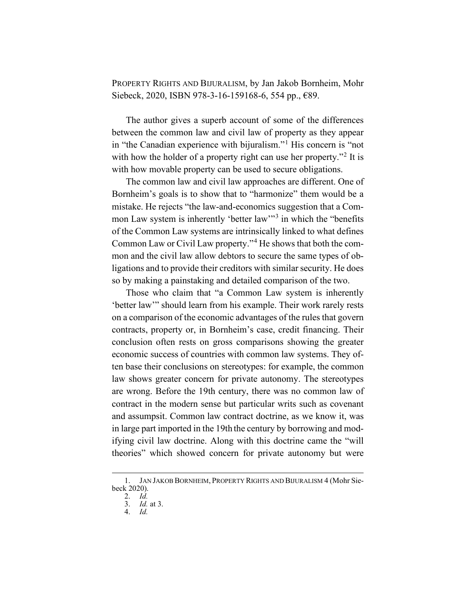PROPERTY RIGHTS AND BIJURALISM, by Jan Jakob Bornheim, Mohr Siebeck, 2020, ISBN 978-3-16-159168-6, 554 pp., €89.

The author gives a superb account of some of the differences between the common law and civil law of property as they appear in "the Canadian experience with bijuralism."<sup>1</sup> His concern is "not with how the holder of a property right can use her property."<sup>2</sup> It is with how movable property can be used to secure obligations.

The common law and civil law approaches are different. One of Bornheim's goals is to show that to "harmonize" them would be a mistake. He rejects "the law-and-economics suggestion that a Common Law system is inherently 'better law'<sup>3</sup> in which the "benefits" of the Common Law systems are intrinsically linked to what defines Common Law or Civil Law property."<sup>4</sup> He shows that both the common and the civil law allow debtors to secure the same types of obligations and to provide their creditors with similar security. He does so by making a painstaking and detailed comparison of the two.

Those who claim that "a Common Law system is inherently 'better law'" should learn from his example. Their work rarely rests on a comparison of the economic advantages of the rules that govern contracts, property or, in Bornheim's case, credit financing. Their conclusion often rests on gross comparisons showing the greater economic success of countries with common law systems. They often base their conclusions on stereotypes: for example, the common law shows greater concern for private autonomy. The stereotypes are wrong. Before the 19th century, there was no common law of contract in the modern sense but particular writs such as covenant and assumpsit. Common law contract doctrine, as we know it, was in large part imported in the 19th the century by borrowing and modifying civil law doctrine. Along with this doctrine came the "will theories" which showed concern for private autonomy but were

<sup>1.</sup> JAN JAKOB BORNHEIM, PROPERTY RIGHTS AND BIJURALISM 4 (Mohr Siebeck 2020).

<sup>2.</sup> *Id.*

<sup>3.</sup> *Id.* at 3.

<sup>4.</sup> *Id.*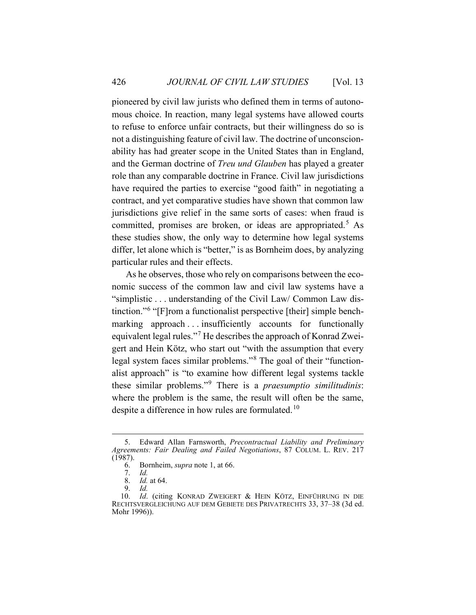pioneered by civil law jurists who defined them in terms of autonomous choice. In reaction, many legal systems have allowed courts to refuse to enforce unfair contracts, but their willingness do so is not a distinguishing feature of civil law. The doctrine of unconscionability has had greater scope in the United States than in England, and the German doctrine of *Treu und Glauben* has played a greater role than any comparable doctrine in France. Civil law jurisdictions have required the parties to exercise "good faith" in negotiating a contract, and yet comparative studies have shown that common law jurisdictions give relief in the same sorts of cases: when fraud is committed, promises are broken, or ideas are appropriated.<sup>5</sup> As these studies show, the only way to determine how legal systems differ, let alone which is "better," is as Bornheim does, by analyzing particular rules and their effects.

As he observes, those who rely on comparisons between the economic success of the common law and civil law systems have a "simplistic . . . understanding of the Civil Law/ Common Law distinction."<sup>6</sup> "[F]rom a functionalist perspective [their] simple benchmarking approach ... insufficiently accounts for functionally equivalent legal rules."<sup>7</sup> He describes the approach of Konrad Zweigert and Hein Kötz, who start out "with the assumption that every legal system faces similar problems."<sup>8</sup> The goal of their "functionalist approach" is "to examine how different legal systems tackle these similar problems."<sup>9</sup> There is a *praesumptio similitudinis*: where the problem is the same, the result will often be the same, despite a difference in how rules are formulated.<sup>10</sup>

<sup>5.</sup> Edward Allan Farnsworth, *Precontractual Liability and Preliminary Agreements: Fair Dealing and Failed Negotiations*, 87 COLUM. L. REV. 217  $(1987).$ <br>6.

<sup>6.</sup> Bornheim, *supra* note 1, at 66.

<sup>7.</sup> *Id.*

<sup>8.</sup> *Id.* at 64.

<sup>9.</sup> *Id.*

<sup>10.</sup> *Id*. (citing KONRAD ZWEIGERT & HEIN KÖTZ, EINFÜHRUNG IN DIE RECHTSVERGLEICHUNG AUF DEM GEBIETE DES PRIVATRECHTS 33, 37–38 (3d ed. Mohr 1996)).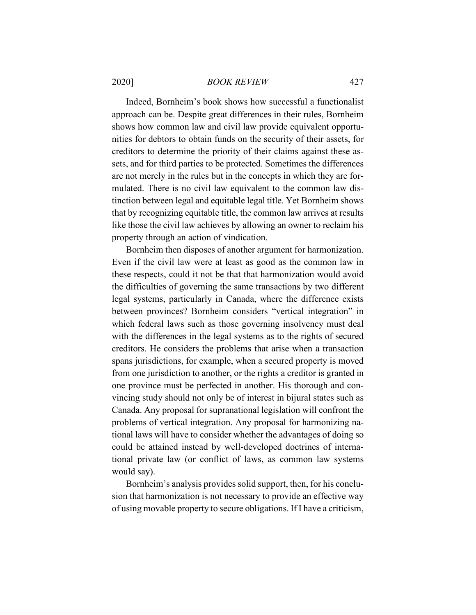Indeed, Bornheim's book shows how successful a functionalist approach can be. Despite great differences in their rules, Bornheim shows how common law and civil law provide equivalent opportunities for debtors to obtain funds on the security of their assets, for creditors to determine the priority of their claims against these assets, and for third parties to be protected. Sometimes the differences are not merely in the rules but in the concepts in which they are formulated. There is no civil law equivalent to the common law distinction between legal and equitable legal title. Yet Bornheim shows that by recognizing equitable title, the common law arrives at results like those the civil law achieves by allowing an owner to reclaim his property through an action of vindication.

Bornheim then disposes of another argument for harmonization. Even if the civil law were at least as good as the common law in these respects, could it not be that that harmonization would avoid the difficulties of governing the same transactions by two different legal systems, particularly in Canada, where the difference exists between provinces? Bornheim considers "vertical integration" in which federal laws such as those governing insolvency must deal with the differences in the legal systems as to the rights of secured creditors. He considers the problems that arise when a transaction spans jurisdictions, for example, when a secured property is moved from one jurisdiction to another, or the rights a creditor is granted in one province must be perfected in another. His thorough and convincing study should not only be of interest in bijural states such as Canada. Any proposal for supranational legislation will confront the problems of vertical integration. Any proposal for harmonizing national laws will have to consider whether the advantages of doing so could be attained instead by well-developed doctrines of international private law (or conflict of laws, as common law systems would say).

Bornheim's analysis provides solid support, then, for his conclusion that harmonization is not necessary to provide an effective way of using movable property to secure obligations. If I have a criticism,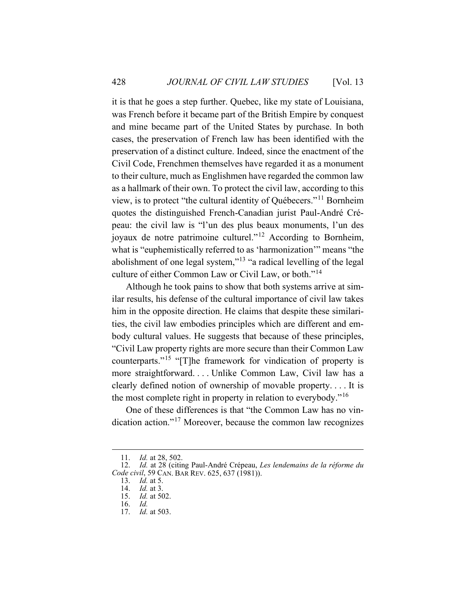it is that he goes a step further. Quebec, like my state of Louisiana, was French before it became part of the British Empire by conquest and mine became part of the United States by purchase. In both cases, the preservation of French law has been identified with the preservation of a distinct culture. Indeed, since the enactment of the Civil Code, Frenchmen themselves have regarded it as a monument to their culture, much as Englishmen have regarded the common law as a hallmark of their own. To protect the civil law, according to this view, is to protect "the cultural identity of Québecers."<sup>11</sup> Bornheim quotes the distinguished French-Canadian jurist Paul-André Crépeau: the civil law is "l'un des plus beaux monuments, l'un des joyaux de notre patrimoine culturel."<sup>12</sup> According to Bornheim, what is "euphemistically referred to as 'harmonization'" means "the abolishment of one legal system,"<sup>13</sup> "a radical levelling of the legal culture of either Common Law or Civil Law, or both."<sup>14</sup>

Although he took pains to show that both systems arrive at similar results, his defense of the cultural importance of civil law takes him in the opposite direction. He claims that despite these similarities, the civil law embodies principles which are different and embody cultural values. He suggests that because of these principles, "Civil Law property rights are more secure than their Common Law counterparts."<sup>15</sup> "[T]he framework for vindication of property is more straightforward. . . . Unlike Common Law, Civil law has a clearly defined notion of ownership of movable property. . . . It is the most complete right in property in relation to everybody."<sup>16</sup>

One of these differences is that "the Common Law has no vindication action."<sup>17</sup> Moreover, because the common law recognizes

<sup>11.</sup> *Id.* at 28, 502.

<sup>12.</sup> *Id.* at 28 (citing Paul-André Crépeau, *Les lendemains de la réforme du Code civil*, 59 CAN. BAR REV. 625, 637 (1981)).

<sup>13.</sup> *Id.* at 5.

<sup>14.</sup> *Id.* at 3.

<sup>15.</sup> *Id.* at 502.

<sup>16.</sup> *Id.*

<sup>17.</sup> *Id.* at 503.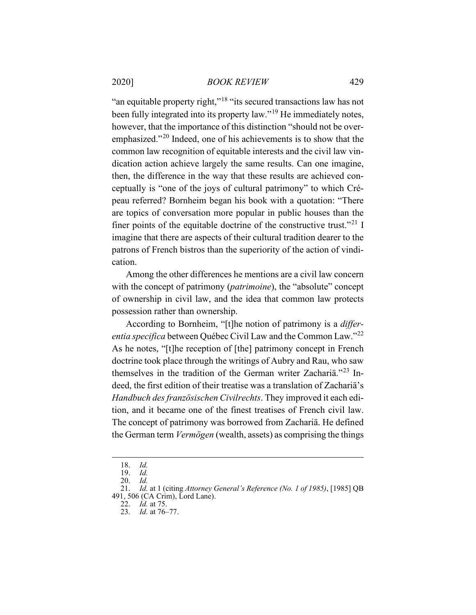"an equitable property right,"<sup>18</sup> "its secured transactions law has not been fully integrated into its property law."<sup>19</sup> He immediately notes. however, that the importance of this distinction "should not be overemphasized."<sup>20</sup> Indeed, one of his achievements is to show that the common law recognition of equitable interests and the civil law vindication action achieve largely the same results. Can one imagine, then, the difference in the way that these results are achieved conceptually is "one of the joys of cultural patrimony" to which Crépeau referred? Bornheim began his book with a quotation: "There are topics of conversation more popular in public houses than the finer points of the equitable doctrine of the constructive trust."<sup>21</sup> I imagine that there are aspects of their cultural tradition dearer to the patrons of French bistros than the superiority of the action of vindication.

Among the other differences he mentions are a civil law concern with the concept of patrimony *(patrimoine)*, the "absolute" concept of ownership in civil law, and the idea that common law protects possession rather than ownership.

According to Bornheim, "[t]he notion of patrimony is a *differentia specifica* between Québec Civil Law and the Common Law."<sup>22</sup> As he notes, "[t]he reception of [the] patrimony concept in French doctrine took place through the writings of Aubry and Rau, who saw themselves in the tradition of the German writer Zachariä."<sup>23</sup> Indeed, the first edition of their treatise was a translation of Zachariä's *Handbuch des französischen Civilrechts*. They improved it each edition, and it became one of the finest treatises of French civil law. The concept of patrimony was borrowed from Zachariä. He defined the German term *Vermögen* (wealth, assets) as comprising the things

<sup>18.</sup> *Id.*

<sup>19.</sup> *Id.*

<sup>20.</sup> *Id.*

<sup>21.</sup> *Id.* at 1 (citing *Attorney General's Reference (No. 1 of 1985)*, [1985] QB 491, 506 (CA Crim), Lord Lane).

<sup>22.</sup> *Id.* at 75.

<sup>23.</sup> *Id.* at 76–77.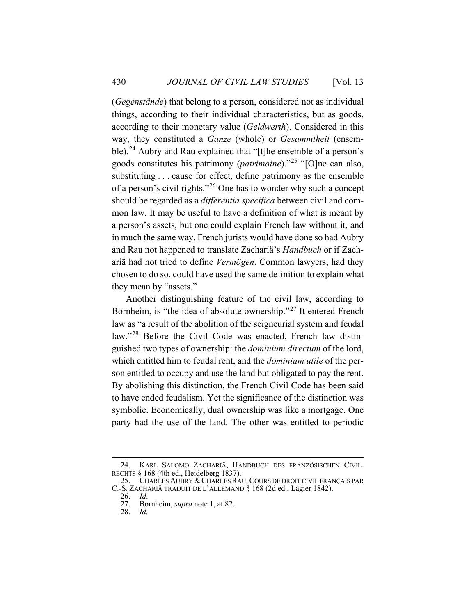(*Gegenstände*) that belong to a person, considered not as individual things, according to their individual characteristics, but as goods, according to their monetary value (*Geldwerth*). Considered in this way, they constituted a *Ganze* (whole) or *Gesammtheit* (ensemble).<sup>24</sup> Aubry and Rau explained that "[t]he ensemble of a person's goods constitutes his patrimony (*patrimoine*)."<sup>25</sup> "[O]ne can also, substituting . . . cause for effect, define patrimony as the ensemble of a person's civil rights."<sup>26</sup> One has to wonder why such a concept should be regarded as a *differentia specifica* between civil and common law. It may be useful to have a definition of what is meant by a person's assets, but one could explain French law without it, and in much the same way. French jurists would have done so had Aubry and Rau not happened to translate Zachariä's *Handbuch* or if Zachariä had not tried to define *Vermögen*. Common lawyers, had they chosen to do so, could have used the same definition to explain what they mean by "assets."

Another distinguishing feature of the civil law, according to Bornheim, is "the idea of absolute ownership."<sup>27</sup> It entered French law as "a result of the abolition of the seigneurial system and feudal law."<sup>28</sup> Before the Civil Code was enacted, French law distinguished two types of ownership: the *dominium directum* of the lord, which entitled him to feudal rent, and the *dominium utile* of the person entitled to occupy and use the land but obligated to pay the rent. By abolishing this distinction, the French Civil Code has been said to have ended feudalism. Yet the significance of the distinction was symbolic. Economically, dual ownership was like a mortgage. One party had the use of the land. The other was entitled to periodic

<sup>24.</sup> KARL SALOMO ZACHARIÄ, HANDBUCH DES FRANZÖSISCHEN CIVIL-RECHTS § 168 (4th ed., Heidelberg 1837).

<sup>25.</sup> CHARLES AUBRY & CHARLES RAU,COURS DE DROIT CIVIL FRANÇAIS PAR C.-S. ZACHARIÄ TRADUIT DE L'ALLEMAND § 168 (2d ed., Lagier 1842).

<sup>26.</sup> *Id*.

Bornheim, *supra* note 1, at 82.<br>Id.

<sup>28.</sup> *Id.*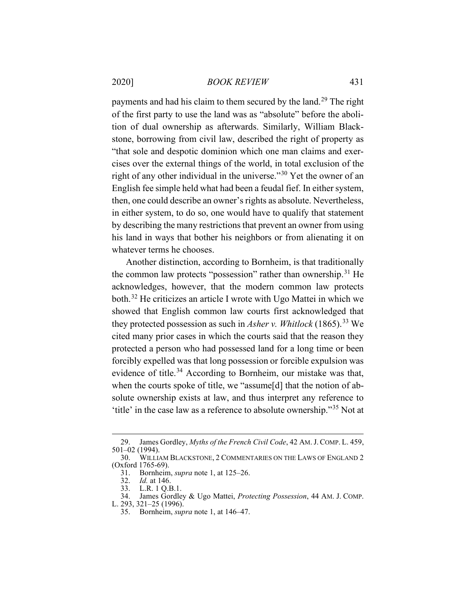payments and had his claim to them secured by the land.<sup>29</sup> The right of the first party to use the land was as "absolute" before the abolition of dual ownership as afterwards. Similarly, William Blackstone, borrowing from civil law, described the right of property as "that sole and despotic dominion which one man claims and exercises over the external things of the world, in total exclusion of the right of any other individual in the universe."<sup>30</sup> Yet the owner of an English fee simple held what had been a feudal fief. In either system, then, one could describe an owner's rights as absolute. Nevertheless, in either system, to do so, one would have to qualify that statement by describing the many restrictions that prevent an owner from using his land in ways that bother his neighbors or from alienating it on whatever terms he chooses.

Another distinction, according to Bornheim, is that traditionally the common law protects "possession" rather than ownership.<sup>31</sup> He acknowledges, however, that the modern common law protects both.<sup>32</sup> He criticizes an article I wrote with Ugo Mattei in which we showed that English common law courts first acknowledged that they protected possession as such in *Asher v. Whitlock* (1865).<sup>33</sup> We cited many prior cases in which the courts said that the reason they protected a person who had possessed land for a long time or been forcibly expelled was that long possession or forcible expulsion was evidence of title.<sup>34</sup> According to Bornheim, our mistake was that, when the courts spoke of title, we "assume[d] that the notion of absolute ownership exists at law, and thus interpret any reference to 'title' in the case law as a reference to absolute ownership."<sup>35</sup> Not at

<sup>29.</sup> James Gordley, *Myths of the French Civil Code*, 42 AM.J.COMP. L. 459, 501–02 (1994).

<sup>30.</sup> WILLIAM BLACKSTONE, 2 COMMENTARIES ON THE LAWS OF ENGLAND 2 (Oxford 1765-69).

<sup>31.</sup> Bornheim, *supra* note 1, at 125–26.

<sup>32.</sup> *Id.* at 146.

<sup>33.</sup> L.R. 1 Q.B.1.

<sup>34.</sup> James Gordley & Ugo Mattei, *Protecting Possession*, 44 AM. J. COMP.

L. 293, 321–25 (1996).

<sup>35.</sup> Bornheim, *supra* note 1, at 146–47.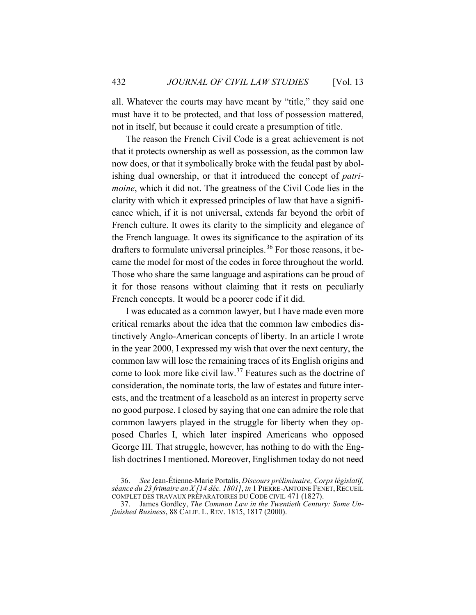all. Whatever the courts may have meant by "title," they said one must have it to be protected, and that loss of possession mattered, not in itself, but because it could create a presumption of title.

The reason the French Civil Code is a great achievement is not that it protects ownership as well as possession, as the common law now does, or that it symbolically broke with the feudal past by abolishing dual ownership, or that it introduced the concept of *patrimoine*, which it did not. The greatness of the Civil Code lies in the clarity with which it expressed principles of law that have a significance which, if it is not universal, extends far beyond the orbit of French culture. It owes its clarity to the simplicity and elegance of the French language. It owes its significance to the aspiration of its drafters to formulate universal principles.<sup>36</sup> For those reasons, it became the model for most of the codes in force throughout the world. Those who share the same language and aspirations can be proud of it for those reasons without claiming that it rests on peculiarly French concepts. It would be a poorer code if it did.

I was educated as a common lawyer, but I have made even more critical remarks about the idea that the common law embodies distinctively Anglo-American concepts of liberty. In an article I wrote in the year 2000, I expressed my wish that over the next century, the common law will lose the remaining traces of its English origins and come to look more like civil law.<sup>37</sup> Features such as the doctrine of consideration, the nominate torts, the law of estates and future interests, and the treatment of a leasehold as an interest in property serve no good purpose. I closed by saying that one can admire the role that common lawyers played in the struggle for liberty when they opposed Charles I, which later inspired Americans who opposed George III. That struggle, however, has nothing to do with the English doctrines I mentioned. Moreover, Englishmen today do not need

<sup>36.</sup> *See* Jean-Étienne-Marie Portalis, *Discours préliminaire, Corps législatif, séance du 23 frimaire an X [14 déc. 1801]*, *in* 1 PIERRE-ANTOINE FENET, RECUEIL COMPLET DES TRAVAUX PRÉPARATOIRES DU CODE CIVIL 471 (1827).

<sup>37.</sup> James Gordley, *The Common Law in the Twentieth Century: Some Unfinished Business*, 88 CALIF. L. REV. 1815, 1817 (2000).